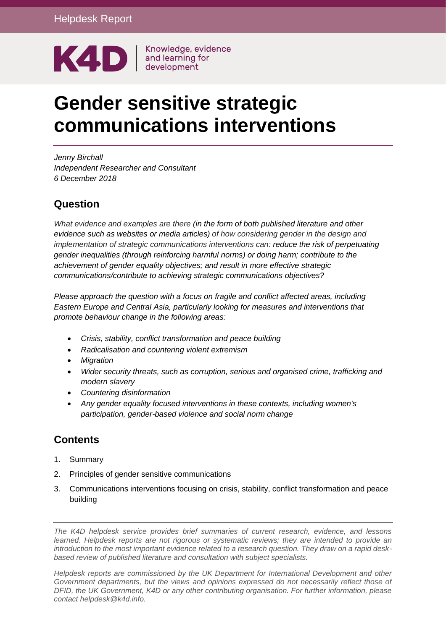

# **Gender sensitive strategic communications interventions**

*Jenny Birchall Independent Researcher and Consultant 6 December 2018*

#### **Question**

*What evidence and examples are there (in the form of both published literature and other evidence such as websites or media articles) of how considering gender in the design and implementation of strategic communications interventions can: reduce the risk of perpetuating gender inequalities (through reinforcing harmful norms) or doing harm; contribute to the achievement of gender equality objectives; and result in more effective strategic communications/contribute to achieving strategic communications objectives?*

*Please approach the question with a focus on fragile and conflict affected areas, including Eastern Europe and Central Asia, particularly looking for measures and interventions that promote behaviour change in the following areas:*

- *Crisis, stability, conflict transformation and peace building*
- *Radicalisation and countering violent extremism*
- *Migration*
- *Wider security threats, such as corruption, serious and organised crime, trafficking and modern slavery*
- *Countering disinformation*
- *Any gender equality focused interventions in these contexts, including women's participation, gender-based violence and social norm change*

## **Contents**

- 1. [Summary](#page-2-0)
- 2. [Principles of gender sensitive communications](#page-3-0)
- 3. [Communications interventions focusing on crisis, stability, conflict transformation and peace](#page-4-0)  [building](#page-4-0)

*Helpdesk reports are commissioned by the UK Department for International Development and other Government departments, but the views and opinions expressed do not necessarily reflect those of DFID, the UK Government, K4D or any other contributing organisation. For further information, please contact helpdesk@k4d.info.*

*The K4D helpdesk service provides brief summaries of current research, evidence, and lessons learned. Helpdesk reports are not rigorous or systematic reviews; they are intended to provide an introduction to the most important evidence related to a research question. They draw on a rapid deskbased review of published literature and consultation with subject specialists.*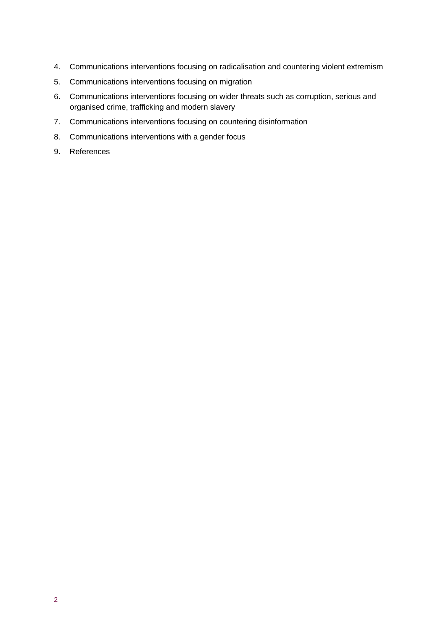- 4. [Communications interventions focusing on radicalisation and countering violent extremism](#page-5-0)
- 5. [Communications interventions focusing on migration](#page-7-0)
- 6. [Communications interventions focusing on wider threats such as corruption, serious and](#page-8-0)  [organised crime, trafficking and modern slavery](#page-8-0)
- 7. [Communications interventions focusing on countering disinformation](#page-10-0)
- 8. [Communications interventions with a gender focus](#page-11-0)
- 9. [References](#page-16-0)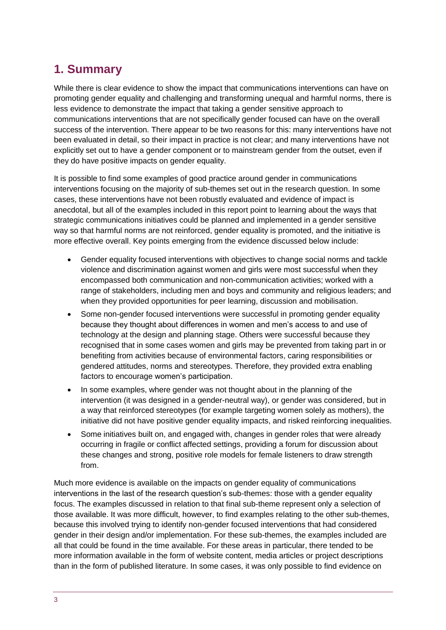# <span id="page-2-0"></span>**1. Summary**

While there is clear evidence to show the impact that communications interventions can have on promoting gender equality and challenging and transforming unequal and harmful norms, there is less evidence to demonstrate the impact that taking a gender sensitive approach to communications interventions that are not specifically gender focused can have on the overall success of the intervention. There appear to be two reasons for this: many interventions have not been evaluated in detail, so their impact in practice is not clear; and many interventions have not explicitly set out to have a gender component or to mainstream gender from the outset, even if they do have positive impacts on gender equality.

It is possible to find some examples of good practice around gender in communications interventions focusing on the majority of sub-themes set out in the research question. In some cases, these interventions have not been robustly evaluated and evidence of impact is anecdotal, but all of the examples included in this report point to learning about the ways that strategic communications initiatives could be planned and implemented in a gender sensitive way so that harmful norms are not reinforced, gender equality is promoted, and the initiative is more effective overall. Key points emerging from the evidence discussed below include:

- Gender equality focused interventions with objectives to change social norms and tackle violence and discrimination against women and girls were most successful when they encompassed both communication and non-communication activities; worked with a range of stakeholders, including men and boys and community and religious leaders; and when they provided opportunities for peer learning, discussion and mobilisation.
- Some non-gender focused interventions were successful in promoting gender equality because they thought about differences in women and men's access to and use of technology at the design and planning stage. Others were successful because they recognised that in some cases women and girls may be prevented from taking part in or benefiting from activities because of environmental factors, caring responsibilities or gendered attitudes, norms and stereotypes. Therefore, they provided extra enabling factors to encourage women's participation.
- In some examples, where gender was not thought about in the planning of the intervention (it was designed in a gender-neutral way), or gender was considered, but in a way that reinforced stereotypes (for example targeting women solely as mothers), the initiative did not have positive gender equality impacts, and risked reinforcing inequalities.
- Some initiatives built on, and engaged with, changes in gender roles that were already occurring in fragile or conflict affected settings, providing a forum for discussion about these changes and strong, positive role models for female listeners to draw strength from.

Much more evidence is available on the impacts on gender equality of communications interventions in the last of the research question's sub-themes: those with a gender equality focus. The examples discussed in relation to that final sub-theme represent only a selection of those available. It was more difficult, however, to find examples relating to the other sub-themes, because this involved trying to identify non-gender focused interventions that had considered gender in their design and/or implementation. For these sub-themes, the examples included are all that could be found in the time available. For these areas in particular, there tended to be more information available in the form of website content, media articles or project descriptions than in the form of published literature. In some cases, it was only possible to find evidence on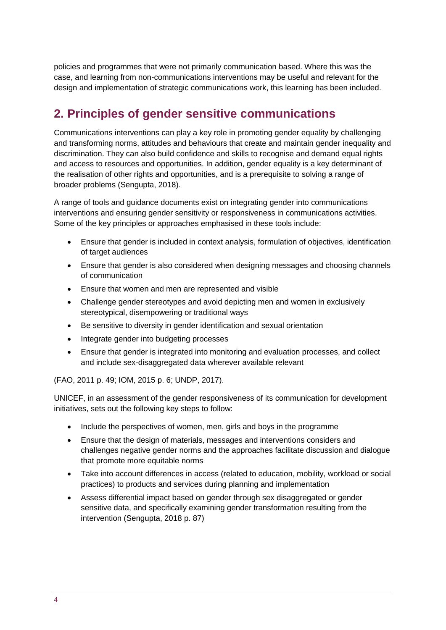policies and programmes that were not primarily communication based. Where this was the case, and learning from non-communications interventions may be useful and relevant for the design and implementation of strategic communications work, this learning has been included.

# <span id="page-3-0"></span>**2. Principles of gender sensitive communications**

Communications interventions can play a key role in promoting gender equality by challenging and transforming norms, attitudes and behaviours that create and maintain gender inequality and discrimination. They can also build confidence and skills to recognise and demand equal rights and access to resources and opportunities. In addition, gender equality is a key determinant of the realisation of other rights and opportunities, and is a prerequisite to solving a range of broader problems (Sengupta, 2018).

A range of tools and guidance documents exist on integrating gender into communications interventions and ensuring gender sensitivity or responsiveness in communications activities. Some of the key principles or approaches emphasised in these tools include:

- Ensure that gender is included in context analysis, formulation of objectives, identification of target audiences
- Ensure that gender is also considered when designing messages and choosing channels of communication
- Ensure that women and men are represented and visible
- Challenge gender stereotypes and avoid depicting men and women in exclusively stereotypical, disempowering or traditional ways
- Be sensitive to diversity in gender identification and sexual orientation
- Integrate gender into budgeting processes
- Ensure that gender is integrated into monitoring and evaluation processes, and collect and include sex-disaggregated data wherever available relevant

(FAO, 2011 p. 49; IOM, 2015 p. 6; UNDP, 2017).

UNICEF, in an assessment of the gender responsiveness of its communication for development initiatives, sets out the following key steps to follow:

- Include the perspectives of women, men, girls and boys in the programme
- Ensure that the design of materials, messages and interventions considers and challenges negative gender norms and the approaches facilitate discussion and dialogue that promote more equitable norms
- Take into account differences in access (related to education, mobility, workload or social practices) to products and services during planning and implementation
- Assess differential impact based on gender through sex disaggregated or gender sensitive data, and specifically examining gender transformation resulting from the intervention (Sengupta, 2018 p. 87)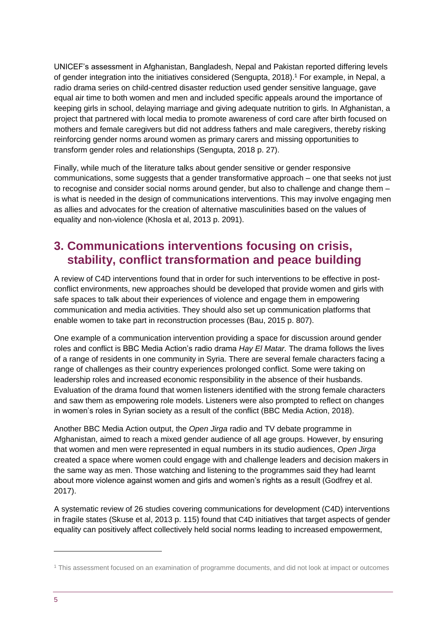UNICEF's assessment in Afghanistan, Bangladesh, Nepal and Pakistan reported differing levels of gender integration into the initiatives considered (Sengupta, 2018). <sup>1</sup> For example, in Nepal, a radio drama series on child-centred disaster reduction used gender sensitive language, gave equal air time to both women and men and included specific appeals around the importance of keeping girls in school, delaying marriage and giving adequate nutrition to girls. In Afghanistan, a project that partnered with local media to promote awareness of cord care after birth focused on mothers and female caregivers but did not address fathers and male caregivers, thereby risking reinforcing gender norms around women as primary carers and missing opportunities to transform gender roles and relationships (Sengupta, 2018 p. 27).

Finally, while much of the literature talks about gender sensitive or gender responsive communications, some suggests that a gender transformative approach – one that seeks not just to recognise and consider social norms around gender, but also to challenge and change them – is what is needed in the design of communications interventions. This may involve engaging men as allies and advocates for the creation of alternative masculinities based on the values of equality and non-violence (Khosla et al, 2013 p. 2091).

# <span id="page-4-0"></span>**3. Communications interventions focusing on crisis, stability, conflict transformation and peace building**

A review of C4D interventions found that in order for such interventions to be effective in postconflict environments, new approaches should be developed that provide women and girls with safe spaces to talk about their experiences of violence and engage them in empowering communication and media activities. They should also set up communication platforms that enable women to take part in reconstruction processes (Bau, 2015 p. 807).

One example of a communication intervention providing a space for discussion around gender roles and conflict is BBC Media Action's radio drama *Hay El Matar.* The drama follows the lives of a range of residents in one community in Syria. There are several female characters facing a range of challenges as their country experiences prolonged conflict. Some were taking on leadership roles and increased economic responsibility in the absence of their husbands. Evaluation of the drama found that women listeners identified with the strong female characters and saw them as empowering role models. Listeners were also prompted to reflect on changes in women's roles in Syrian society as a result of the conflict (BBC Media Action, 2018).

Another BBC Media Action output, the *Open Jirga* radio and TV debate programme in Afghanistan, aimed to reach a mixed gender audience of all age groups. However, by ensuring that women and men were represented in equal numbers in its studio audiences, *Open Jirga* created a space where women could engage with and challenge leaders and decision makers in the same way as men. Those watching and listening to the programmes said they had learnt about more violence against women and girls and women's rights as a result (Godfrey et al. 2017).

A systematic review of 26 studies covering communications for development (C4D) interventions in fragile states (Skuse et al, 2013 p. 115) found that C4D initiatives that target aspects of gender equality can positively affect collectively held social norms leading to increased empowerment,

-

<sup>1</sup> This assessment focused on an examination of programme documents, and did not look at impact or outcomes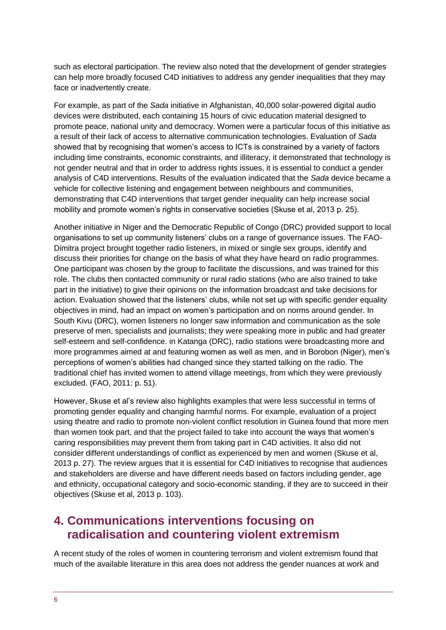such as electoral participation. The review also noted that the development of gender strategies can help more broadly focused C4D initiatives to address any gender inequalities that they may face or inadvertently create.

For example, as part of the *Sada* initiative in Afghanistan, 40,000 solar-powered digital audio devices were distributed, each containing 15 hours of civic education material designed to promote peace, national unity and democracy. Women were a particular focus of this initiative as a result of their lack of access to alternative communication technologies. Evaluation of *Sada* showed that by recognising that women's access to ICTs is constrained by a variety of factors including time constraints, economic constraints, and illiteracy, it demonstrated that technology is not gender neutral and that in order to address rights issues, it is essential to conduct a gender analysis of C4D interventions. Results of the evaluation indicated that the *Sada* device became a vehicle for collective listening and engagement between neighbours and communities, demonstrating that C4D interventions that target gender inequality can help increase social mobility and promote women's rights in conservative societies (Skuse et al, 2013 p. 25).

Another initiative in Niger and the Democratic Republic of Congo (DRC) provided support to local organisations to set up community listeners' clubs on a range of governance issues. The FAO-Dimitra project brought together radio listeners, in mixed or single sex groups, identify and discuss their priorities for change on the basis of what they have heard on radio programmes. One participant was chosen by the group to facilitate the discussions, and was trained for this role. The clubs then contacted community or rural radio stations (who are also trained to take part in the initiative) to give their opinions on the information broadcast and take decisions for action. Evaluation showed that the listeners' clubs, while not set up with specific gender equality objectives in mind, had an impact on women's participation and on norms around gender. In South Kivu (DRC), women listeners no longer saw information and communication as the sole preserve of men, specialists and journalists; they were speaking more in public and had greater self-esteem and self-confidence. in Katanga (DRC), radio stations were broadcasting more and more programmes aimed at and featuring women as well as men, and in Borobon (Niger), men's perceptions of women's abilities had changed since they started talking on the radio. The traditional chief has invited women to attend village meetings, from which they were previously excluded. (FAO, 2011: p. 51).

However, Skuse et al's review also highlights examples that were less successful in terms of promoting gender equality and changing harmful norms. For example, evaluation of a project using theatre and radio to promote non-violent conflict resolution in Guinea found that more men than women took part, and that the project failed to take into account the ways that women's caring responsibilities may prevent them from taking part in C4D activities. It also did not consider different understandings of conflict as experienced by men and women (Skuse et al, 2013 p. 27). The review argues that it is essential for C4D initiatives to recognise that audiences and stakeholders are diverse and have different needs based on factors including gender, age and ethnicity, occupational category and socio-economic standing, if they are to succeed in their objectives (Skuse et al, 2013 p. 103).

# <span id="page-5-0"></span>**4. Communications interventions focusing on radicalisation and countering violent extremism**

A recent study of the roles of women in countering terrorism and violent extremism found that much of the available literature in this area does not address the gender nuances at work and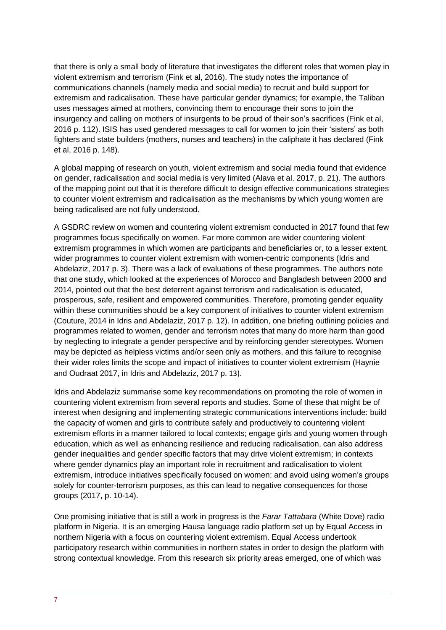that there is only a small body of literature that investigates the different roles that women play in violent extremism and terrorism (Fink et al, 2016). The study notes the importance of communications channels (namely media and social media) to recruit and build support for extremism and radicalisation. These have particular gender dynamics; for example, the Taliban uses messages aimed at mothers, convincing them to encourage their sons to join the insurgency and calling on mothers of insurgents to be proud of their son's sacrifices (Fink et al, 2016 p. 112). ISIS has used gendered messages to call for women to join their 'sisters' as both fighters and state builders (mothers, nurses and teachers) in the caliphate it has declared (Fink et al, 2016 p. 148).

A global mapping of research on youth, violent extremism and social media found that evidence on gender, radicalisation and social media is very limited (Alava et al. 2017, p. 21). The authors of the mapping point out that it is therefore difficult to design effective communications strategies to counter violent extremism and radicalisation as the mechanisms by which young women are being radicalised are not fully understood.

A GSDRC review on women and countering violent extremism conducted in 2017 found that few programmes focus specifically on women. Far more common are wider countering violent extremism programmes in which women are participants and beneficiaries or, to a lesser extent, wider programmes to counter violent extremism with women-centric components (Idris and Abdelaziz, 2017 p. 3). There was a lack of evaluations of these programmes. The authors note that one study, which looked at the experiences of Morocco and Bangladesh between 2000 and 2014, pointed out that the best deterrent against terrorism and radicalisation is educated, prosperous, safe, resilient and empowered communities. Therefore, promoting gender equality within these communities should be a key component of initiatives to counter violent extremism (Couture, 2014 in Idris and Abdelaziz, 2017 p. 12). In addition, one briefing outlining policies and programmes related to women, gender and terrorism notes that many do more harm than good by neglecting to integrate a gender perspective and by reinforcing gender stereotypes. Women may be depicted as helpless victims and/or seen only as mothers, and this failure to recognise their wider roles limits the scope and impact of initiatives to counter violent extremism (Haynie and Oudraat 2017, in Idris and Abdelaziz, 2017 p. 13).

Idris and Abdelaziz summarise some key recommendations on promoting the role of women in countering violent extremism from several reports and studies. Some of these that might be of interest when designing and implementing strategic communications interventions include: build the capacity of women and girls to contribute safely and productively to countering violent extremism efforts in a manner tailored to local contexts; engage girls and young women through education, which as well as enhancing resilience and reducing radicalisation, can also address gender inequalities and gender specific factors that may drive violent extremism; in contexts where gender dynamics play an important role in recruitment and radicalisation to violent extremism, introduce initiatives specifically focused on women; and avoid using women's groups solely for counter-terrorism purposes, as this can lead to negative consequences for those groups (2017, p. 10-14).

One promising initiative that is still a work in progress is the *Farar Tattabara* (White Dove) radio platform in Nigeria. It is an emerging Hausa language radio platform set up by Equal Access in northern Nigeria with a focus on countering violent extremism. Equal Access undertook participatory research within communities in northern states in order to design the platform with strong contextual knowledge. From this research six priority areas emerged, one of which was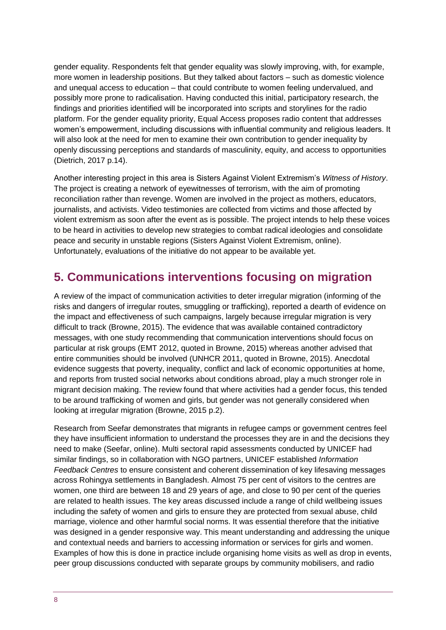gender equality. Respondents felt that gender equality was slowly improving, with, for example, more women in leadership positions. But they talked about factors – such as domestic violence and unequal access to education – that could contribute to women feeling undervalued, and possibly more prone to radicalisation. Having conducted this initial, participatory research, the findings and priorities identified will be incorporated into scripts and storylines for the radio platform. For the gender equality priority, Equal Access proposes radio content that addresses women's empowerment, including discussions with influential community and religious leaders. It will also look at the need for men to examine their own contribution to gender inequality by openly discussing perceptions and standards of masculinity, equity, and access to opportunities (Dietrich, 2017 p.14).

Another interesting project in this area is Sisters Against Violent Extremism's *Witness of History*. The project is creating a network of eyewitnesses of terrorism, with the aim of promoting reconciliation rather than revenge. Women are involved in the project as mothers, educators, journalists, and activists. Video testimonies are collected from victims and those affected by violent extremism as soon after the event as is possible. The project intends to help these voices to be heard in activities to develop new strategies to combat radical ideologies and consolidate peace and security in unstable regions (Sisters Against Violent Extremism, online). Unfortunately, evaluations of the initiative do not appear to be available yet.

# <span id="page-7-0"></span>**5. Communications interventions focusing on migration**

A review of the impact of communication activities to deter irregular migration (informing of the risks and dangers of irregular routes, smuggling or trafficking), reported a dearth of evidence on the impact and effectiveness of such campaigns, largely because irregular migration is very difficult to track (Browne, 2015). The evidence that was available contained contradictory messages, with one study recommending that communication interventions should focus on particular at risk groups (EMT 2012, quoted in Browne, 2015) whereas another advised that entire communities should be involved (UNHCR 2011, quoted in Browne, 2015). Anecdotal evidence suggests that poverty, inequality, conflict and lack of economic opportunities at home, and reports from trusted social networks about conditions abroad, play a much stronger role in migrant decision making. The review found that where activities had a gender focus, this tended to be around trafficking of women and girls, but gender was not generally considered when looking at irregular migration (Browne, 2015 p.2).

Research from Seefar demonstrates that migrants in refugee camps or government centres feel they have insufficient information to understand the processes they are in and the decisions they need to make (Seefar, online). Multi sectoral rapid assessments conducted by UNICEF had similar findings, so in collaboration with NGO partners, UNICEF established *Information Feedback Centres* to ensure consistent and coherent dissemination of key lifesaving messages across Rohingya settlements in Bangladesh. Almost 75 per cent of visitors to the centres are women, one third are between 18 and 29 years of age, and close to 90 per cent of the queries are related to health issues. The key areas discussed include a range of child wellbeing issues including the safety of women and girls to ensure they are protected from sexual abuse, child marriage, violence and other harmful social norms. It was essential therefore that the initiative was designed in a gender responsive way. This meant understanding and addressing the unique and contextual needs and barriers to accessing information or services for girls and women. Examples of how this is done in practice include organising home visits as well as drop in events, peer group discussions conducted with separate groups by community mobilisers, and radio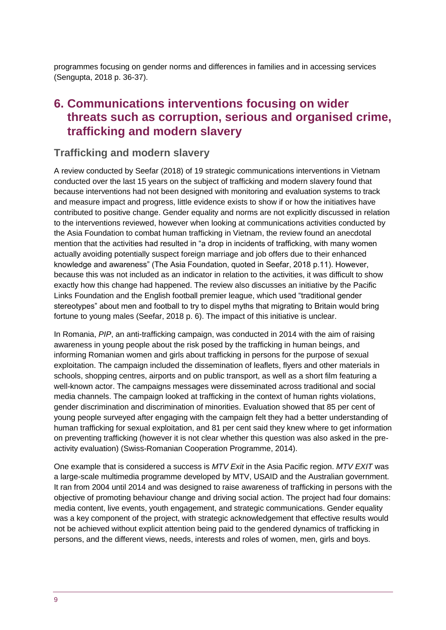programmes focusing on gender norms and differences in families and in accessing services (Sengupta, 2018 p. 36-37).

## <span id="page-8-0"></span>**6. Communications interventions focusing on wider threats such as corruption, serious and organised crime, trafficking and modern slavery**

#### **Trafficking and modern slavery**

A review conducted by Seefar (2018) of 19 strategic communications interventions in Vietnam conducted over the last 15 years on the subject of trafficking and modern slavery found that because interventions had not been designed with monitoring and evaluation systems to track and measure impact and progress, little evidence exists to show if or how the initiatives have contributed to positive change. Gender equality and norms are not explicitly discussed in relation to the interventions reviewed, however when looking at communications activities conducted by the Asia Foundation to combat human trafficking in Vietnam, the review found an anecdotal mention that the activities had resulted in "a drop in incidents of trafficking, with many women actually avoiding potentially suspect foreign marriage and job offers due to their enhanced knowledge and awareness" (The Asia Foundation, quoted in Seefar, 2018 p.11). However, because this was not included as an indicator in relation to the activities, it was difficult to show exactly how this change had happened. The review also discusses an initiative by the Pacific Links Foundation and the English football premier league, which used "traditional gender stereotypes" about men and football to try to dispel myths that migrating to Britain would bring fortune to young males (Seefar, 2018 p. 6). The impact of this initiative is unclear.

In Romania, *PIP*, an anti-trafficking campaign, was conducted in 2014 with the aim of raising awareness in young people about the risk posed by the trafficking in human beings, and informing Romanian women and girls about trafficking in persons for the purpose of sexual exploitation. The campaign included the dissemination of leaflets, flyers and other materials in schools, shopping centres, airports and on public transport, as well as a short film featuring a well-known actor. The campaigns messages were disseminated across traditional and social media channels. The campaign looked at trafficking in the context of human rights violations, gender discrimination and discrimination of minorities. Evaluation showed that 85 per cent of young people surveyed after engaging with the campaign felt they had a better understanding of human trafficking for sexual exploitation, and 81 per cent said they knew where to get information on preventing trafficking (however it is not clear whether this question was also asked in the preactivity evaluation) (Swiss-Romanian Cooperation Programme, 2014).

One example that is considered a success is *MTV Exit* in the Asia Pacific region. *MTV EXIT* was a large-scale multimedia programme developed by MTV, USAID and the Australian government. It ran from 2004 until 2014 and was designed to raise awareness of trafficking in persons with the objective of promoting behaviour change and driving social action. The project had four domains: media content, live events, youth engagement, and strategic communications. Gender equality was a key component of the project, with strategic acknowledgement that effective results would not be achieved without explicit attention being paid to the gendered dynamics of trafficking in persons, and the different views, needs, interests and roles of women, men, girls and boys.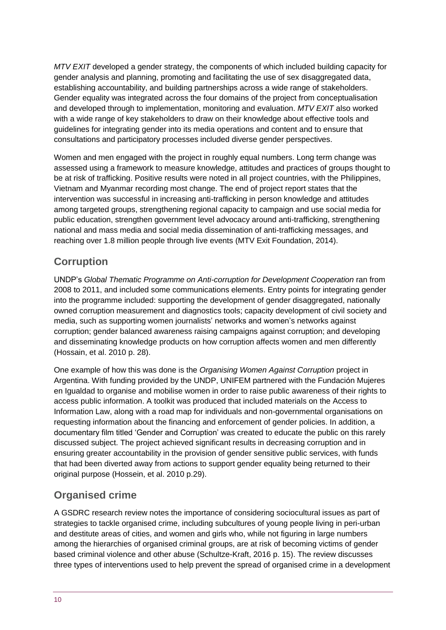*MTV EXIT* developed a gender strategy, the components of which included building capacity for gender analysis and planning, promoting and facilitating the use of sex disaggregated data, establishing accountability, and building partnerships across a wide range of stakeholders. Gender equality was integrated across the four domains of the project from conceptualisation and developed through to implementation, monitoring and evaluation. *MTV EXIT* also worked with a wide range of key stakeholders to draw on their knowledge about effective tools and guidelines for integrating gender into its media operations and content and to ensure that consultations and participatory processes included diverse gender perspectives.

Women and men engaged with the project in roughly equal numbers. Long term change was assessed using a framework to measure knowledge, attitudes and practices of groups thought to be at risk of trafficking. Positive results were noted in all project countries, with the Philippines, Vietnam and Myanmar recording most change. The end of project report states that the intervention was successful in increasing anti-trafficking in person knowledge and attitudes among targeted groups, strengthening regional capacity to campaign and use social media for public education, strengthen government level advocacy around anti-trafficking, strengthening national and mass media and social media dissemination of anti-trafficking messages, and reaching over 1.8 million people through live events (MTV Exit Foundation, 2014).

### **Corruption**

UNDP's *Global Thematic Programme on Anti-corruption for Development Cooperation* ran from 2008 to 2011, and included some communications elements. Entry points for integrating gender into the programme included: supporting the development of gender disaggregated, nationally owned corruption measurement and diagnostics tools; capacity development of civil society and media, such as supporting women journalists' networks and women's networks against corruption; gender balanced awareness raising campaigns against corruption; and developing and disseminating knowledge products on how corruption affects women and men differently (Hossain, et al. 2010 p. 28).

One example of how this was done is the *Organising Women Against Corruption* project in Argentina. With funding provided by the UNDP, UNIFEM partnered with the Fundación Mujeres en Igualdad to organise and mobilise women in order to raise public awareness of their rights to access public information. A toolkit was produced that included materials on the Access to Information Law, along with a road map for individuals and non-governmental organisations on requesting information about the financing and enforcement of gender policies. In addition, a documentary film titled 'Gender and Corruption' was created to educate the public on this rarely discussed subject. The project achieved significant results in decreasing corruption and in ensuring greater accountability in the provision of gender sensitive public services, with funds that had been diverted away from actions to support gender equality being returned to their original purpose (Hossein, et al. 2010 p.29).

# **Organised crime**

A GSDRC research review notes the importance of considering sociocultural issues as part of strategies to tackle organised crime, including subcultures of young people living in peri-urban and destitute areas of cities, and women and girls who, while not figuring in large numbers among the hierarchies of organised criminal groups, are at risk of becoming victims of gender based criminal violence and other abuse (Schultze-Kraft, 2016 p. 15). The review discusses three types of interventions used to help prevent the spread of organised crime in a development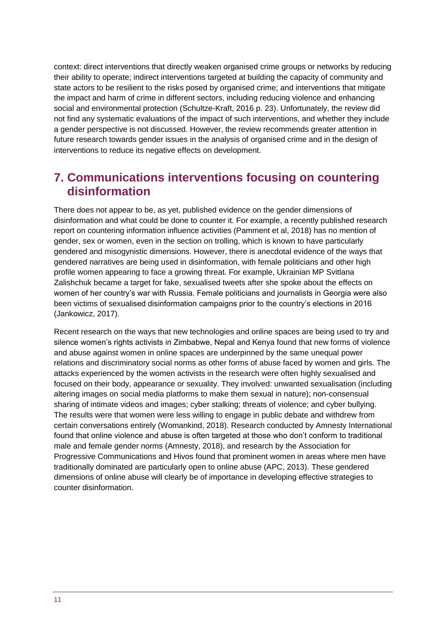context: direct interventions that directly weaken organised crime groups or networks by reducing their ability to operate; indirect interventions targeted at building the capacity of community and state actors to be resilient to the risks posed by organised crime; and interventions that mitigate the impact and harm of crime in different sectors, including reducing violence and enhancing social and environmental protection (Schultze-Kraft, 2016 p. 23). Unfortunately, the review did not find any systematic evaluations of the impact of such interventions, and whether they include a gender perspective is not discussed. However, the review recommends greater attention in future research towards gender issues in the analysis of organised crime and in the design of interventions to reduce its negative effects on development.

# <span id="page-10-0"></span>**7. Communications interventions focusing on countering disinformation**

There does not appear to be, as yet, published evidence on the gender dimensions of disinformation and what could be done to counter it. For example, a recently published research report on countering information influence activities (Pamment et al, 2018) has no mention of gender, sex or women, even in the section on trolling, which is known to have particularly gendered and misogynistic dimensions. However, there is anecdotal evidence of the ways that gendered narratives are being used in disinformation, with female politicians and other high profile women appearing to face a growing threat. For example, Ukrainian MP Svitlana Zalishchuk became a target for fake, sexualised tweets after she spoke about the effects on women of her country's war with Russia. Female politicians and journalists in Georgia were also been victims of sexualised disinformation campaigns prior to the country's elections in 2016 (Jankowicz, 2017).

Recent research on the ways that new technologies and online spaces are being used to try and silence women's rights activists in Zimbabwe, Nepal and Kenya found that new forms of violence and abuse against women in online spaces are underpinned by the same unequal power relations and discriminatory social norms as other forms of abuse faced by women and girls. The attacks experienced by the women activists in the research were often highly sexualised and focused on their body, appearance or sexuality. They involved: unwanted sexualisation (including altering images on social media platforms to make them sexual in nature); non-consensual sharing of intimate videos and images; cyber stalking; threats of violence; and cyber bullying. The results were that women were less willing to engage in public debate and withdrew from certain conversations entirely (Womankind, 2018). Research conducted by Amnesty International found that online violence and abuse is often targeted at those who don't conform to traditional male and female gender norms (Amnesty, 2018), and research by the Association for Progressive Communications and Hivos found that prominent women in areas where men have traditionally dominated are particularly open to online abuse (APC, 2013). These gendered dimensions of online abuse will clearly be of importance in developing effective strategies to counter disinformation.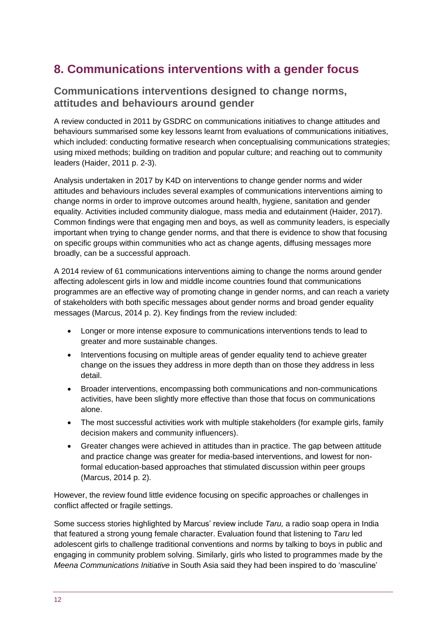# <span id="page-11-0"></span>**8. Communications interventions with a gender focus**

#### **Communications interventions designed to change norms, attitudes and behaviours around gender**

A review conducted in 2011 by GSDRC on communications initiatives to change attitudes and behaviours summarised some key lessons learnt from evaluations of communications initiatives, which included: conducting formative research when conceptualising communications strategies; using mixed methods; building on tradition and popular culture; and reaching out to community leaders (Haider, 2011 p. 2-3).

Analysis undertaken in 2017 by K4D on interventions to change gender norms and wider attitudes and behaviours includes several examples of communications interventions aiming to change norms in order to improve outcomes around health, hygiene, sanitation and gender equality. Activities included community dialogue, mass media and edutainment (Haider, 2017). Common findings were that engaging men and boys, as well as community leaders, is especially important when trying to change gender norms, and that there is evidence to show that focusing on specific groups within communities who act as change agents, diffusing messages more broadly, can be a successful approach.

A 2014 review of 61 communications interventions aiming to change the norms around gender affecting adolescent girls in low and middle income countries found that communications programmes are an effective way of promoting change in gender norms, and can reach a variety of stakeholders with both specific messages about gender norms and broad gender equality messages (Marcus, 2014 p. 2). Key findings from the review included:

- Longer or more intense exposure to communications interventions tends to lead to greater and more sustainable changes.
- Interventions focusing on multiple areas of gender equality tend to achieve greater change on the issues they address in more depth than on those they address in less detail.
- Broader interventions, encompassing both communications and non-communications activities, have been slightly more effective than those that focus on communications alone.
- The most successful activities work with multiple stakeholders (for example girls, family decision makers and community influencers).
- Greater changes were achieved in attitudes than in practice. The gap between attitude and practice change was greater for media-based interventions, and lowest for nonformal education-based approaches that stimulated discussion within peer groups (Marcus, 2014 p. 2).

However, the review found little evidence focusing on specific approaches or challenges in conflict affected or fragile settings.

Some success stories highlighted by Marcus' review include *Taru,* a radio soap opera in India that featured a strong young female character. Evaluation found that listening to *Taru* led adolescent girls to challenge traditional conventions and norms by talking to boys in public and engaging in community problem solving. Similarly, girls who listed to programmes made by the *Meena Communications Initiative* in South Asia said they had been inspired to do 'masculine'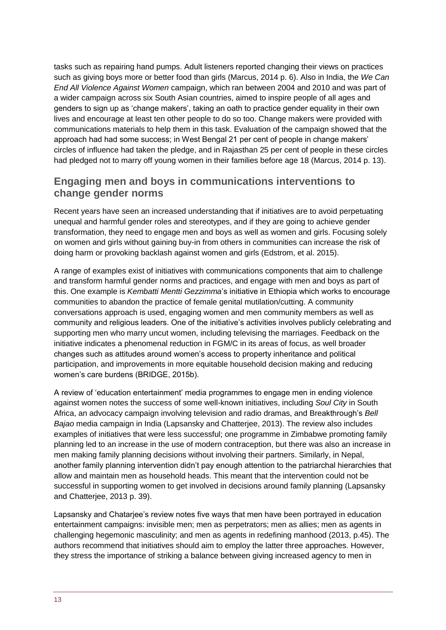tasks such as repairing hand pumps. Adult listeners reported changing their views on practices such as giving boys more or better food than girls (Marcus, 2014 p. 6). Also in India, the *We Can End All Violence Against Women* campaign, which ran between 2004 and 2010 and was part of a wider campaign across six South Asian countries, aimed to inspire people of all ages and genders to sign up as 'change makers', taking an oath to practice gender equality in their own lives and encourage at least ten other people to do so too. Change makers were provided with communications materials to help them in this task. Evaluation of the campaign showed that the approach had had some success; in West Bengal 21 per cent of people in change makers' circles of influence had taken the pledge, and in Rajasthan 25 per cent of people in these circles had pledged not to marry off young women in their families before age 18 (Marcus, 2014 p. 13).

#### **Engaging men and boys in communications interventions to change gender norms**

Recent years have seen an increased understanding that if initiatives are to avoid perpetuating unequal and harmful gender roles and stereotypes, and if they are going to achieve gender transformation, they need to engage men and boys as well as women and girls. Focusing solely on women and girls without gaining buy-in from others in communities can increase the risk of doing harm or provoking backlash against women and girls (Edstrom, et al. 2015).

A range of examples exist of initiatives with communications components that aim to challenge and transform harmful gender norms and practices, and engage with men and boys as part of this. One example is *Kembatti Mentti Gezzimma*'s initiative in Ethiopia which works to encourage communities to abandon the practice of female genital mutilation/cutting. A community conversations approach is used, engaging women and men community members as well as community and religious leaders. One of the initiative's activities involves publicly celebrating and supporting men who marry uncut women, including televising the marriages. Feedback on the initiative indicates a phenomenal reduction in FGM/C in its areas of focus, as well broader changes such as attitudes around women's access to property inheritance and political participation, and improvements in more equitable household decision making and reducing women's care burdens (BRIDGE, 2015b).

A review of 'education entertainment' media programmes to engage men in ending violence against women notes the success of some well-known initiatives, including *Soul City* in South Africa, an advocacy campaign involving television and radio dramas, and Breakthrough's *Bell Bajao* media campaign in India (Lapsansky and Chatterjee, 2013). The review also includes examples of initiatives that were less successful; one programme in Zimbabwe promoting family planning led to an increase in the use of modern contraception, but there was also an increase in men making family planning decisions without involving their partners. Similarly, in Nepal, another family planning intervention didn't pay enough attention to the patriarchal hierarchies that allow and maintain men as household heads. This meant that the intervention could not be successful in supporting women to get involved in decisions around family planning (Lapsansky and Chatterjee, 2013 p. 39).

Lapsansky and Chatarjee's review notes five ways that men have been portrayed in education entertainment campaigns: invisible men; men as perpetrators; men as allies; men as agents in challenging hegemonic masculinity; and men as agents in redefining manhood (2013, p.45). The authors recommend that initiatives should aim to employ the latter three approaches. However, they stress the importance of striking a balance between giving increased agency to men in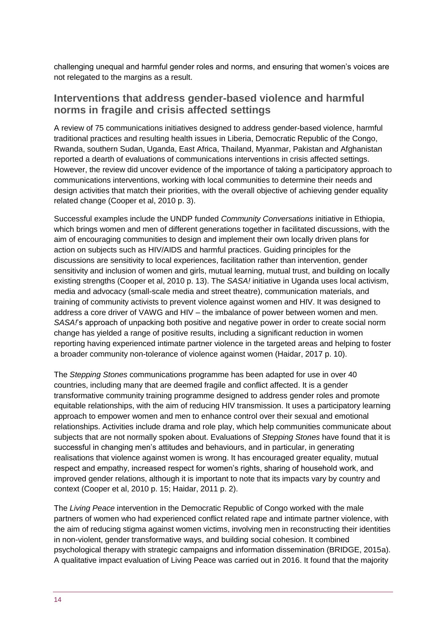challenging unequal and harmful gender roles and norms, and ensuring that women's voices are not relegated to the margins as a result.

#### **Interventions that address gender-based violence and harmful norms in fragile and crisis affected settings**

A review of 75 communications initiatives designed to address gender-based violence, harmful traditional practices and resulting health issues in Liberia, Democratic Republic of the Congo, Rwanda, southern Sudan, Uganda, East Africa, Thailand, Myanmar, Pakistan and Afghanistan reported a dearth of evaluations of communications interventions in crisis affected settings. However, the review did uncover evidence of the importance of taking a participatory approach to communications interventions, working with local communities to determine their needs and design activities that match their priorities, with the overall objective of achieving gender equality related change (Cooper et al, 2010 p. 3).

Successful examples include the UNDP funded *Community Conversations* initiative in Ethiopia, which brings women and men of different generations together in facilitated discussions, with the aim of encouraging communities to design and implement their own locally driven plans for action on subjects such as HIV/AIDS and harmful practices. Guiding principles for the discussions are sensitivity to local experiences, facilitation rather than intervention, gender sensitivity and inclusion of women and girls, mutual learning, mutual trust, and building on locally existing strengths (Cooper et al, 2010 p. 13). The *SASA!* initiative in Uganda uses local activism, media and advocacy (small-scale media and street theatre), communication materials, and training of community activists to prevent violence against women and HIV. It was designed to address a core driver of VAWG and HIV – the imbalance of power between women and men. *SASA!*'s approach of unpacking both positive and negative power in order to create social norm change has yielded a range of positive results, including a significant reduction in women reporting having experienced intimate partner violence in the targeted areas and helping to foster a broader community non-tolerance of violence against women (Haidar, 2017 p. 10).

The *Stepping Stones* communications programme has been adapted for use in over 40 countries, including many that are deemed fragile and conflict affected. It is a gender transformative community training programme designed to address gender roles and promote equitable relationships, with the aim of reducing HIV transmission. It uses a participatory learning approach to empower women and men to enhance control over their sexual and emotional relationships. Activities include drama and role play, which help communities communicate about subjects that are not normally spoken about. Evaluations of *Stepping Stones* have found that it is successful in changing men's attitudes and behaviours, and in particular, in generating realisations that violence against women is wrong. It has encouraged greater equality, mutual respect and empathy, increased respect for women's rights, sharing of household work, and improved gender relations, although it is important to note that its impacts vary by country and context (Cooper et al, 2010 p. 15; Haidar, 2011 p. 2).

The *Living Peace* intervention in the Democratic Republic of Congo worked with the male partners of women who had experienced conflict related rape and intimate partner violence, with the aim of reducing stigma against women victims, involving men in reconstructing their identities in non-violent, gender transformative ways, and building social cohesion. It combined psychological therapy with strategic campaigns and information dissemination (BRIDGE, 2015a). A qualitative impact evaluation of Living Peace was carried out in 2016. It found that the majority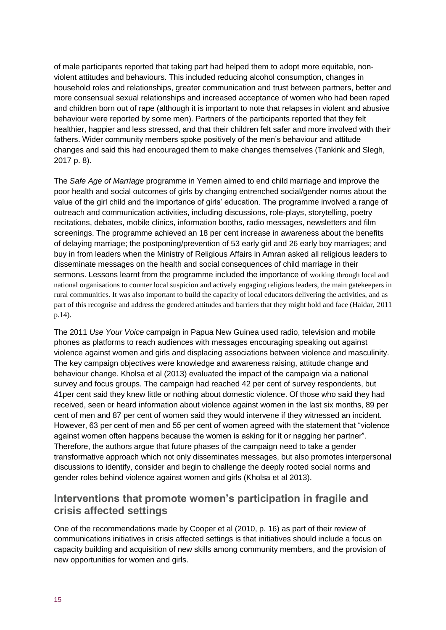of male participants reported that taking part had helped them to adopt more equitable, nonviolent attitudes and behaviours. This included reducing alcohol consumption, changes in household roles and relationships, greater communication and trust between partners, better and more consensual sexual relationships and increased acceptance of women who had been raped and children born out of rape (although it is important to note that relapses in violent and abusive behaviour were reported by some men). Partners of the participants reported that they felt healthier, happier and less stressed, and that their children felt safer and more involved with their fathers. Wider community members spoke positively of the men's behaviour and attitude changes and said this had encouraged them to make changes themselves (Tankink and Slegh, 2017 p. 8).

The *Safe Age of Marriage* programme in Yemen aimed to end child marriage and improve the poor health and social outcomes of girls by changing entrenched social/gender norms about the value of the girl child and the importance of girls' education. The programme involved a range of outreach and communication activities, including discussions, role-plays, storytelling, poetry recitations, debates, mobile clinics, information booths, radio messages, newsletters and film screenings. The programme achieved an 18 per cent increase in awareness about the benefits of delaying marriage; the postponing/prevention of 53 early girl and 26 early boy marriages; and buy in from leaders when the Ministry of Religious Affairs in Amran asked all religious leaders to disseminate messages on the health and social consequences of child marriage in their sermons. Lessons learnt from the programme included the importance of working through local and national organisations to counter local suspicion and actively engaging religious leaders, the main gatekeepers in rural communities. It was also important to build the capacity of local educators delivering the activities, and as part of this recognise and address the gendered attitudes and barriers that they might hold and face (Haidar, 2011 p.14).

The 2011 *Use Your Voice* campaign in Papua New Guinea used radio, television and mobile phones as platforms to reach audiences with messages encouraging speaking out against violence against women and girls and displacing associations between violence and masculinity. The key campaign objectives were knowledge and awareness raising, attitude change and behaviour change. Kholsa et al (2013) evaluated the impact of the campaign via a national survey and focus groups. The campaign had reached 42 per cent of survey respondents, but 41per cent said they knew little or nothing about domestic violence. Of those who said they had received, seen or heard information about violence against women in the last six months, 89 per cent of men and 87 per cent of women said they would intervene if they witnessed an incident. However, 63 per cent of men and 55 per cent of women agreed with the statement that "violence against women often happens because the women is asking for it or nagging her partner". Therefore, the authors argue that future phases of the campaign need to take a gender transformative approach which not only disseminates messages, but also promotes interpersonal discussions to identify, consider and begin to challenge the deeply rooted social norms and gender roles behind violence against women and girls (Kholsa et al 2013).

#### **Interventions that promote women's participation in fragile and crisis affected settings**

One of the recommendations made by Cooper et al (2010, p. 16) as part of their review of communications initiatives in crisis affected settings is that initiatives should include a focus on capacity building and acquisition of new skills among community members, and the provision of new opportunities for women and girls.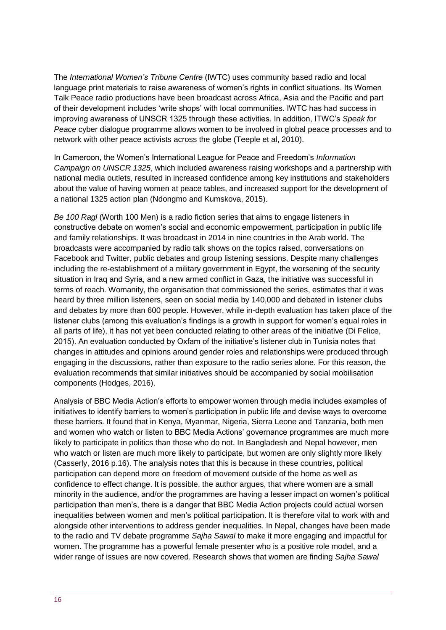The *International Women's Tribune Centre* (IWTC) uses community based radio and local language print materials to raise awareness of women's rights in conflict situations. Its Women Talk Peace radio productions have been broadcast across Africa, Asia and the Pacific and part of their development includes 'write shops' with local communities. IWTC has had success in improving awareness of UNSCR 1325 through these activities. In addition, ITWC's *Speak for Peace* cyber dialogue programme allows women to be involved in global peace processes and to network with other peace activists across the globe (Teeple et al, 2010).

In Cameroon, the Women's International League for Peace and Freedom's *Information Campaign on UNSCR 1325*, which included awareness raising workshops and a partnership with national media outlets, resulted in increased confidence among key institutions and stakeholders about the value of having women at peace tables, and increased support for the development of a national 1325 action plan (Ndongmo and Kumskova, 2015).

*Be 100 Ragl* (Worth 100 Men) is a radio fiction series that aims to engage listeners in constructive debate on women's social and economic empowerment, participation in public life and family relationships. It was broadcast in 2014 in nine countries in the Arab world. The broadcasts were accompanied by radio talk shows on the topics raised, conversations on Facebook and Twitter, public debates and group listening sessions. Despite many challenges including the re-establishment of a military government in Egypt, the worsening of the security situation in Iraq and Syria, and a new armed conflict in Gaza, the initiative was successful in terms of reach. Womanity, the organisation that commissioned the series, estimates that it was heard by three million listeners, seen on social media by 140,000 and debated in listener clubs and debates by more than 600 people. However, while in-depth evaluation has taken place of the listener clubs (among this evaluation's findings is a growth in support for women's equal roles in all parts of life), it has not yet been conducted relating to other areas of the initiative (Di Felice, 2015). An evaluation conducted by Oxfam of the initiative's listener club in Tunisia notes that changes in attitudes and opinions around gender roles and relationships were produced through engaging in the discussions, rather than exposure to the radio series alone. For this reason, the evaluation recommends that similar initiatives should be accompanied by social mobilisation components (Hodges, 2016).

Analysis of BBC Media Action's efforts to empower women through media includes examples of initiatives to identify barriers to women's participation in public life and devise ways to overcome these barriers. It found that in Kenya, Myanmar, Nigeria, Sierra Leone and Tanzania, both men and women who watch or listen to BBC Media Actions' governance programmes are much more likely to participate in politics than those who do not. In Bangladesh and Nepal however, men who watch or listen are much more likely to participate, but women are only slightly more likely (Casserly, 2016 p.16). The analysis notes that this is because in these countries, political participation can depend more on freedom of movement outside of the home as well as confidence to effect change. It is possible, the author argues, that where women are a small minority in the audience, and/or the programmes are having a lesser impact on women's political participation than men's, there is a danger that BBC Media Action projects could actual worsen inequalities between women and men's political participation. It is therefore vital to work with and alongside other interventions to address gender inequalities. In Nepal, changes have been made to the radio and TV debate programme *Sajha Sawal* to make it more engaging and impactful for women. The programme has a powerful female presenter who is a positive role model, and a wider range of issues are now covered. Research shows that women are finding *Sajha Sawal*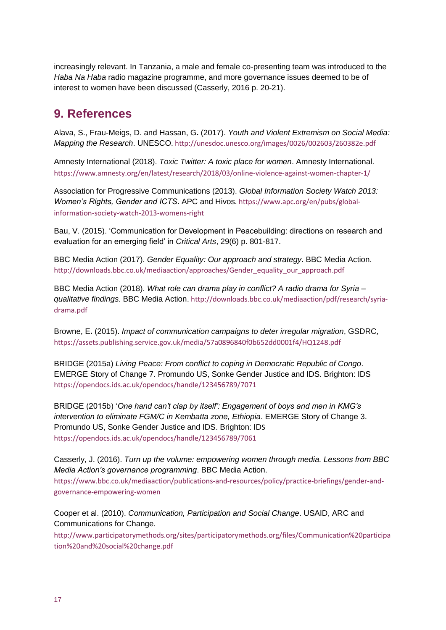increasingly relevant. In Tanzania, a male and female co-presenting team was introduced to the *Haba Na Haba* radio magazine programme, and more governance issues deemed to be of interest to women have been discussed (Casserly, 2016 p. 20-21).

### <span id="page-16-0"></span>**9. References**

Alava, S., Frau-Meigs, D. and Hassan, G**.** (2017). *Youth and Violent Extremism on Social Media: Mapping the Research*. UNESCO[. http://unesdoc.unesco.org/images/0026/002603/260382e.pdf](http://unesdoc.unesco.org/images/0026/002603/260382e.pdf)

Amnesty International (2018). *Toxic Twitter: A toxic place for women*. Amnesty International. <https://www.amnesty.org/en/latest/research/2018/03/online-violence-against-women-chapter-1/>

Association for Progressive Communications (2013). *Global Information Society Watch 2013: Women's Rights, Gender and ICTS*. APC and Hivos[. https://www.apc.org/en/pubs/global](https://www.apc.org/en/pubs/global-information-society-watch-2013-womens-right)[information-society-watch-2013-womens-right](https://www.apc.org/en/pubs/global-information-society-watch-2013-womens-right)

Bau, V. (2015). 'Communication for Development in Peacebuilding: directions on research and evaluation for an emerging field' in *Critical Arts*, 29(6) p. 801-817.

BBC Media Action (2017). *Gender Equality: Our approach and strategy*. BBC Media Action. [http://downloads.bbc.co.uk/mediaaction/approaches/Gender\\_equality\\_our\\_approach.pdf](http://downloads.bbc.co.uk/mediaaction/approaches/Gender_equality_our_approach.pdf)

BBC Media Action (2018). *What role can drama play in conflict? A radio drama for Syria – qualitative findings.* BBC Media Action. http://downloads.bbc.co.uk/mediaaction/pdf/research/syriadrama.pdf

Browne, E**.** (2015). *Impact of communication campaigns to deter irregular migration*, GSDRC, <https://assets.publishing.service.gov.uk/media/57a0896840f0b652dd0001f4/HQ1248.pdf>

BRIDGE (2015a) *Living Peace: From conflict to coping in Democratic Republic of Congo*. EMERGE Story of Change 7. Promundo US, Sonke Gender Justice and IDS. Brighton: IDS <https://opendocs.ids.ac.uk/opendocs/handle/123456789/7071>

BRIDGE (2015b) '*One hand can't clap by itself': Engagement of boys and men in KMG's intervention to eliminate FGM/C in Kembatta zone, Ethiopia*. EMERGE Story of Change 3. Promundo US, Sonke Gender Justice and IDS. Brighton: IDS <https://opendocs.ids.ac.uk/opendocs/handle/123456789/7061>

Casserly, J. (2016). *Turn up the volume: empowering women through media. Lessons from BBC Media Action's governance programming*. BBC Media Action. [https://www.bbc.co.uk/mediaaction/publications-and-resources/policy/practice-briefings/gender-and](https://www.bbc.co.uk/mediaaction/publications-and-resources/policy/practice-briefings/gender-and-governance-empowering-women)[governance-empowering-women](https://www.bbc.co.uk/mediaaction/publications-and-resources/policy/practice-briefings/gender-and-governance-empowering-women)

Cooper et al. (2010). *Communication, Participation and Social Change*. USAID, ARC and Communications for Change.

[http://www.participatorymethods.org/sites/participatorymethods.org/files/Communication%20participa](http://www.participatorymethods.org/sites/participatorymethods.org/files/Communication%20participation%20and%20social%20change.pdf) [tion%20and%20social%20change.pdf](http://www.participatorymethods.org/sites/participatorymethods.org/files/Communication%20participation%20and%20social%20change.pdf)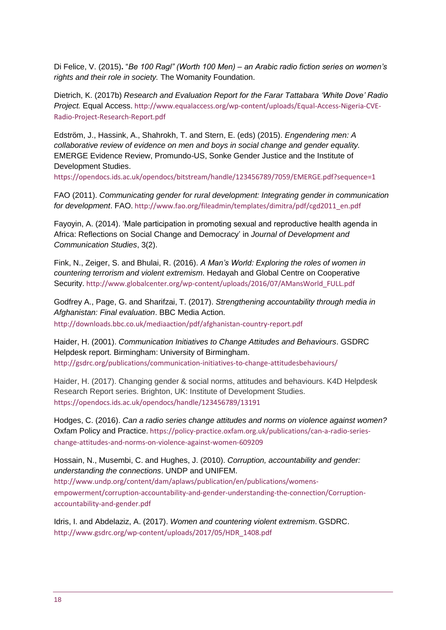Di Felice, V. (2015)**.** "*Be 100 Ragl" (Worth 100 Men) – an Arabic radio fiction series on women's rights and their role in society.* The Womanity Foundation.

Dietrich, K. (2017b) *Research and Evaluation Report for the Farar Tattabara 'White Dove' Radio Project.* Equal Access. [http://www.equalaccess.org/wp-content/uploads/Equal-Access-Nigeria-CVE-](http://www.equalaccess.org/wp-content/uploads/Equal-Access-Nigeria-CVE-Radio-Project-Research-Report.pdf)[Radio-Project-Research-Report.pdf](http://www.equalaccess.org/wp-content/uploads/Equal-Access-Nigeria-CVE-Radio-Project-Research-Report.pdf)

Edström, J., Hassink, A., Shahrokh, T. and Stern, E. (eds) (2015). *Engendering men: A collaborative review of evidence on men and boys in social change and gender equality.* EMERGE Evidence Review, Promundo-US, Sonke Gender Justice and the Institute of Development Studies.

<https://opendocs.ids.ac.uk/opendocs/bitstream/handle/123456789/7059/EMERGE.pdf?sequence=1>

FAO (2011). *Communicating gender for rural development: Integrating gender in communication for development*. FAO[. http://www.fao.org/fileadmin/templates/dimitra/pdf/cgd2011\\_en.pdf](http://www.fao.org/fileadmin/templates/dimitra/pdf/cgd2011_en.pdf)

Fayoyin, A. (2014). 'Male participation in promoting sexual and reproductive health agenda in Africa: Reflections on Social Change and Democracy' in *Journal of Development and Communication Studies*, 3(2).

Fink, N., Zeiger, S. and Bhulai, R. (2016). *A Man's World: Exploring the roles of women in countering terrorism and violent extremism*. Hedayah and Global Centre on Cooperative Security. [http://www.globalcenter.org/wp-content/uploads/2016/07/AMansWorld\\_FULL.pdf](http://www.globalcenter.org/wp-content/uploads/2016/07/AMansWorld_FULL.pdf)

Godfrey A., Page, G. and Sharifzai, T. (2017). *Strengthening accountability through media in Afghanistan: Final evaluation*. BBC Media Action. http://downloads.bbc.co.uk/mediaaction/pdf/afghanistan-country-report.pdf

Haider, H. (2001). *Communication Initiatives to Change Attitudes and Behaviours*. GSDRC Helpdesk report. Birmingham: University of Birmingham. <http://gsdrc.org/publications/communication-initiatives-to-change-attitudesbehaviours/>

Haider, H. (2017). Changing gender & social norms, attitudes and behaviours. K4D Helpdesk Research Report series. Brighton, UK: Institute of Development Studies. <https://opendocs.ids.ac.uk/opendocs/handle/123456789/13191>

Hodges, C. (2016). *Can a radio series change attitudes and norms on violence against women?* Oxfam Policy and Practice. [https://policy-practice.oxfam.org.uk/publications/can-a-radio-series](https://policy-practice.oxfam.org.uk/publications/can-a-radio-series-change-attitudes-and-norms-on-violence-against-women-609209)[change-attitudes-and-norms-on-violence-against-women-609209](https://policy-practice.oxfam.org.uk/publications/can-a-radio-series-change-attitudes-and-norms-on-violence-against-women-609209)

Hossain, N., Musembi, C. and Hughes, J. (2010). *Corruption, accountability and gender: understanding the connections*. UNDP and UNIFEM. [http://www.undp.org/content/dam/aplaws/publication/en/publications/womens](http://www.undp.org/content/dam/aplaws/publication/en/publications/womens-empowerment/corruption-accountability-and-gender-understanding-the-connection/Corruption-accountability-and-gender.pdf)[empowerment/corruption-accountability-and-gender-understanding-the-connection/Corruption](http://www.undp.org/content/dam/aplaws/publication/en/publications/womens-empowerment/corruption-accountability-and-gender-understanding-the-connection/Corruption-accountability-and-gender.pdf)[accountability-and-gender.pdf](http://www.undp.org/content/dam/aplaws/publication/en/publications/womens-empowerment/corruption-accountability-and-gender-understanding-the-connection/Corruption-accountability-and-gender.pdf)

Idris, I. and Abdelaziz, A. (2017). *Women and countering violent extremism*. GSDRC. [http://www.gsdrc.org/wp-content/uploads/2017/05/HDR\\_1408.pdf](http://www.gsdrc.org/wp-content/uploads/2017/05/HDR_1408.pdf)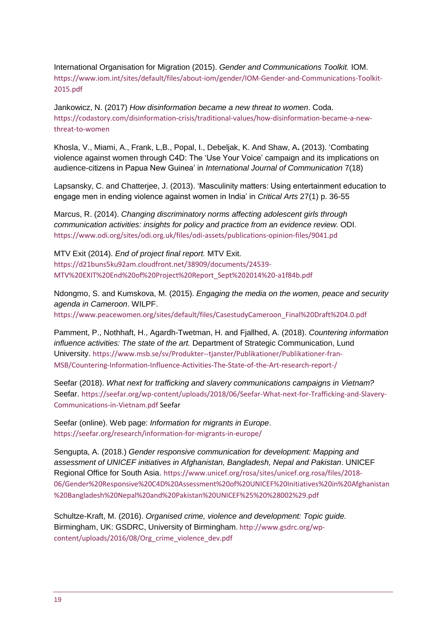International Organisation for Migration (2015). *Gender and Communications Toolkit.* IOM. [https://www.iom.int/sites/default/files/about-iom/gender/IOM-Gender-and-Communications-Toolkit-](https://www.iom.int/sites/default/files/about-iom/gender/IOM-Gender-and-Communications-Toolkit-2015.pdf)[2015.pdf](https://www.iom.int/sites/default/files/about-iom/gender/IOM-Gender-and-Communications-Toolkit-2015.pdf)

Jankowicz, N. (2017) *How disinformation became a new threat to women*. Coda. [https://codastory.com/disinformation-crisis/traditional-values/how-disinformation-became-a-new](https://codastory.com/disinformation-crisis/traditional-values/how-disinformation-became-a-new-threat-to-women)[threat-to-women](https://codastory.com/disinformation-crisis/traditional-values/how-disinformation-became-a-new-threat-to-women)

Khosla, V., Miami, A., Frank, L,B., Popal, I., Debeljak, K. And Shaw, A**.** (2013). 'Combating violence against women through C4D: The 'Use Your Voice' campaign and its implications on audience-citizens in Papua New Guinea' in *International Journal of Communication* 7(18)

Lapsansky, C. and Chatterjee, J. (2013). 'Masculinity matters: Using entertainment education to engage men in ending violence against women in India' in *Critical Arts* 27(1) p. 36-55

Marcus, R. (2014). *Changing discriminatory norms affecting adolescent girls through communication activities: insights for policy and practice from an evidence review.* ODI. https://www.odi.org/sites/odi.org.uk/files/odi-assets/publications-opinion-files/9041.pd

MTV Exit (2014). *End of project final report.* MTV Exit. [https://d21buns5ku92am.cloudfront.net/38909/documents/24539-](https://d21buns5ku92am.cloudfront.net/38909/documents/24539-MTV%20EXIT%20End%20of%20Project%20Report_Sept%202014%20-a1f84b.pdf) [MTV%20EXIT%20End%20of%20Project%20Report\\_Sept%202014%20-a1f84b.pdf](https://d21buns5ku92am.cloudfront.net/38909/documents/24539-MTV%20EXIT%20End%20of%20Project%20Report_Sept%202014%20-a1f84b.pdf)

Ndongmo, S. and Kumskova, M. (2015). *Engaging the media on the women, peace and security agenda in Cameroon*. WILPF.

[https://www.peacewomen.org/sites/default/files/CasestudyCameroon\\_Final%20Draft%204.0.pdf](https://www.peacewomen.org/sites/default/files/CasestudyCameroon_Final%20Draft%204.0.pdf)

Pamment, P., Nothhaft, H., Agardh-Twetman, H. and Fjallhed, A. (2018). *Countering information influence activities: The state of the art.* Department of Strategic Communication, Lund University. [https://www.msb.se/sv/Produkter--tjanster/Publikationer/Publikationer-fran-](https://www.msb.se/sv/Produkter--tjanster/Publikationer/Publikationer-fran-MSB/Countering-Information-Influence-Activities-The-State-of-the-Art-research-report-/)[MSB/Countering-Information-Influence-Activities-The-State-of-the-Art-research-report-/](https://www.msb.se/sv/Produkter--tjanster/Publikationer/Publikationer-fran-MSB/Countering-Information-Influence-Activities-The-State-of-the-Art-research-report-/)

Seefar (2018). *What next for trafficking and slavery communications campaigns in Vietnam?*  Seefar. [https://seefar.org/wp-content/uploads/2018/06/Seefar-What-next-for-Trafficking-and-Slavery-](https://seefar.org/wp-content/uploads/2018/06/Seefar-What-next-for-Trafficking-and-Slavery-Communications-in-Vietnam.pdf)[Communications-in-Vietnam.pdf](https://seefar.org/wp-content/uploads/2018/06/Seefar-What-next-for-Trafficking-and-Slavery-Communications-in-Vietnam.pdf) Seefar

Seefar (online). Web page: *Information for migrants in Europe*. <https://seefar.org/research/information-for-migrants-in-europe/>

Sengupta, A. (2018.) *Gender responsive communication for development: Mapping and assessment of UNICEF initiatives in Afghanistan, Bangladesh, Nepal and Pakistan*. UNICEF Regional Office for South Asia. [https://www.unicef.org/rosa/sites/unicef.org.rosa/files/2018-](https://www.unicef.org/rosa/sites/unicef.org.rosa/files/2018-06/Gender%20Responsive%20C4D%20Assessment%20of%20UNICEF%20Initiatives%20in%20Afghanistan%20Bangladesh%20Nepal%20and%20Pakistan%20UNICEF%25%20%28002%29.pdf) [06/Gender%20Responsive%20C4D%20Assessment%20of%20UNICEF%20Initiatives%20in%20Afghanistan](https://www.unicef.org/rosa/sites/unicef.org.rosa/files/2018-06/Gender%20Responsive%20C4D%20Assessment%20of%20UNICEF%20Initiatives%20in%20Afghanistan%20Bangladesh%20Nepal%20and%20Pakistan%20UNICEF%25%20%28002%29.pdf) [%20Bangladesh%20Nepal%20and%20Pakistan%20UNICEF%25%20%28002%29.pdf](https://www.unicef.org/rosa/sites/unicef.org.rosa/files/2018-06/Gender%20Responsive%20C4D%20Assessment%20of%20UNICEF%20Initiatives%20in%20Afghanistan%20Bangladesh%20Nepal%20and%20Pakistan%20UNICEF%25%20%28002%29.pdf)

Schultze-Kraft, M. (2016). *Organised crime, violence and development: Topic guide.* Birmingham, UK: GSDRC, University of Birmingham. [http://www.gsdrc.org/wp](http://www.gsdrc.org/wp-content/uploads/2016/08/Org_crime_violence_dev.pdf)[content/uploads/2016/08/Org\\_crime\\_violence\\_dev.pdf](http://www.gsdrc.org/wp-content/uploads/2016/08/Org_crime_violence_dev.pdf)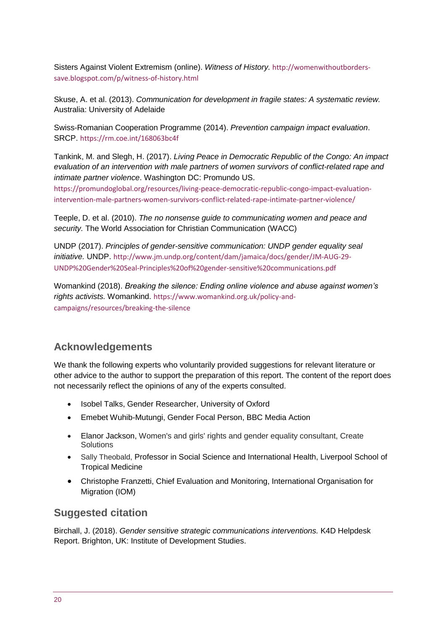Sisters Against Violent Extremism (online). *Witness of History.* [http://womenwithoutborders](http://womenwithoutborders-save.blogspot.com/p/witness-of-history.html)[save.blogspot.com/p/witness-of-history.html](http://womenwithoutborders-save.blogspot.com/p/witness-of-history.html)

Skuse, A. et al. (2013). *Communication for development in fragile states: A systematic review.*  Australia: University of Adelaide

Swiss-Romanian Cooperation Programme (2014). *Prevention campaign impact evaluation*. SRCP. <https://rm.coe.int/168063bc4f>

Tankink, M. and Slegh, H. (2017). *Living Peace in Democratic Republic of the Congo: An impact evaluation of an intervention with male partners of women survivors of conflict-related rape and intimate partner violence*. Washington DC: Promundo US.

[https://promundoglobal.org/resources/living-peace-democratic-republic-congo-impact-evaluation](https://promundoglobal.org/resources/living-peace-democratic-republic-congo-impact-evaluation-intervention-male-partners-women-survivors-conflict-related-rape-intimate-partner-violence/)[intervention-male-partners-women-survivors-conflict-related-rape-intimate-partner-violence/](https://promundoglobal.org/resources/living-peace-democratic-republic-congo-impact-evaluation-intervention-male-partners-women-survivors-conflict-related-rape-intimate-partner-violence/)

Teeple, D. et al. (2010). *The no nonsense guide to communicating women and peace and security.* The World Association for Christian Communication (WACC)

UNDP (2017). *Principles of gender-sensitive communication: UNDP gender equality seal initiative.* UNDP. [http://www.jm.undp.org/content/dam/jamaica/docs/gender/JM-AUG-29-](http://www.jm.undp.org/content/dam/jamaica/docs/gender/JM-AUG-29-UNDP%20Gender%20Seal-Principles%20of%20gender-sensitive%20communications.pdf) [UNDP%20Gender%20Seal-Principles%20of%20gender-sensitive%20communications.pdf](http://www.jm.undp.org/content/dam/jamaica/docs/gender/JM-AUG-29-UNDP%20Gender%20Seal-Principles%20of%20gender-sensitive%20communications.pdf)

Womankind (2018). *Breaking the silence: Ending online violence and abuse against women's rights activists.* Womankind. [https://www.womankind.org.uk/policy-and](https://www.womankind.org.uk/policy-and-campaigns/resources/breaking-the-silence)[campaigns/resources/breaking-the-silence](https://www.womankind.org.uk/policy-and-campaigns/resources/breaking-the-silence)

#### **Acknowledgements**

We thank the following experts who voluntarily provided suggestions for relevant literature or other advice to the author to support the preparation of this report. The content of the report does not necessarily reflect the opinions of any of the experts consulted.

- Isobel Talks, Gender Researcher, University of Oxford
- Emebet Wuhib-Mutungi, Gender Focal Person, BBC Media Action
- Elanor Jackson, Women's and girls' rights and gender equality consultant, Create **Solutions**
- Sally Theobald, Professor in Social Science and International Health, Liverpool School of Tropical Medicine
- Christophe Franzetti, Chief Evaluation and Monitoring, International Organisation for Migration (IOM)

#### **Suggested citation**

Birchall, J. (2018). *Gender sensitive strategic communications interventions.* K4D Helpdesk Report. Brighton, UK: Institute of Development Studies.